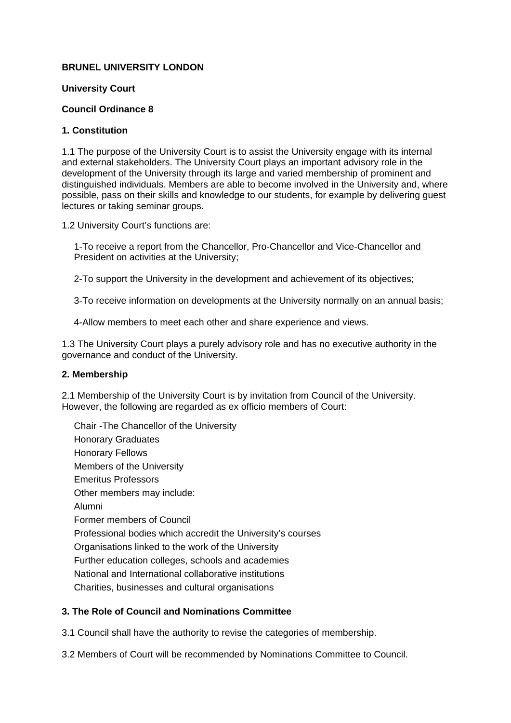# **BRUNEL UNIVERSITY LONDON**

## **University Court**

## **Council Ordinance 8**

## **1. Constitution**

1.1 The purpose of the University Court is to assist the University engage with its internal and external stakeholders. The University Court plays an important advisory role in the development of the University through its large and varied membership of prominent and distinguished individuals. Members are able to become involved in the University and, where possible, pass on their skills and knowledge to our students, for example by delivering guest lectures or taking seminar groups.

1.2 University Court's functions are:

1-To receive a report from the Chancellor, Pro-Chancellor and Vice-Chancellor and President on activities at the University;

2-To support the University in the development and achievement of its objectives;

3-To receive information on developments at the University normally on an annual basis;

4-Allow members to meet each other and share experience and views.

1.3 The University Court plays a purely advisory role and has no executive authority in the governance and conduct of the University.

#### **2. Membership**

2.1 Membership of the University Court is by invitation from Council of the University. However, the following are regarded as ex officio members of Court:

Chair -The Chancellor of the University Honorary Graduates Honorary Fellows Members of the University Emeritus Professors Other members may include: Alumni Former members of Council Professional bodies which accredit the University's courses Organisations linked to the work of the University Further education colleges, schools and academies National and International collaborative institutions Charities, businesses and cultural organisations

# **3. The Role of Council and Nominations Committee**

3.1 Council shall have the authority to revise the categories of membership.

3.2 Members of Court will be recommended by Nominations Committee to Council.